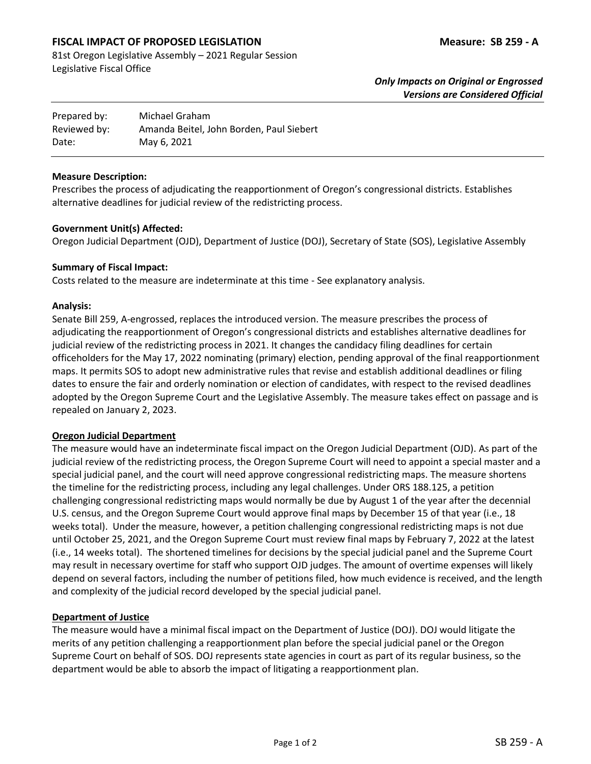# **FISCAL IMPACT OF PROPOSED LEGISLATION Measure: SB 259 - A**

81st Oregon Legislative Assembly – 2021 Regular Session Legislative Fiscal Office

| Prepared by: | Michael Graham                           |
|--------------|------------------------------------------|
| Reviewed by: | Amanda Beitel, John Borden, Paul Siebert |
| Date:        | May 6, 2021                              |

#### **Measure Description:**

Prescribes the process of adjudicating the reapportionment of Oregon's congressional districts. Establishes alternative deadlines for judicial review of the redistricting process.

#### **Government Unit(s) Affected:**

Oregon Judicial Department (OJD), Department of Justice (DOJ), Secretary of State (SOS), Legislative Assembly

#### **Summary of Fiscal Impact:**

Costs related to the measure are indeterminate at this time - See explanatory analysis.

#### **Analysis:**

Senate Bill 259, A-engrossed, replaces the introduced version. The measure prescribes the process of adjudicating the reapportionment of Oregon's congressional districts and establishes alternative deadlines for judicial review of the redistricting process in 2021. It changes the candidacy filing deadlines for certain officeholders for the May 17, 2022 nominating (primary) election, pending approval of the final reapportionment maps. It permits SOS to adopt new administrative rules that revise and establish additional deadlines or filing dates to ensure the fair and orderly nomination or election of candidates, with respect to the revised deadlines adopted by the Oregon Supreme Court and the Legislative Assembly. The measure takes effect on passage and is repealed on January 2, 2023.

## **Oregon Judicial Department**

The measure would have an indeterminate fiscal impact on the Oregon Judicial Department (OJD). As part of the judicial review of the redistricting process, the Oregon Supreme Court will need to appoint a special master and a special judicial panel, and the court will need approve congressional redistricting maps. The measure shortens the timeline for the redistricting process, including any legal challenges. Under ORS 188.125, a petition challenging congressional redistricting maps would normally be due by August 1 of the year after the decennial U.S. census, and the Oregon Supreme Court would approve final maps by December 15 of that year (i.e., 18 weeks total). Under the measure, however, a petition challenging congressional redistricting maps is not due until October 25, 2021, and the Oregon Supreme Court must review final maps by February 7, 2022 at the latest (i.e., 14 weeks total). The shortened timelines for decisions by the special judicial panel and the Supreme Court may result in necessary overtime for staff who support OJD judges. The amount of overtime expenses will likely depend on several factors, including the number of petitions filed, how much evidence is received, and the length and complexity of the judicial record developed by the special judicial panel.

## **Department of Justice**

The measure would have a minimal fiscal impact on the Department of Justice (DOJ). DOJ would litigate the merits of any petition challenging a reapportionment plan before the special judicial panel or the Oregon Supreme Court on behalf of SOS. DOJ represents state agencies in court as part of its regular business, so the department would be able to absorb the impact of litigating a reapportionment plan.